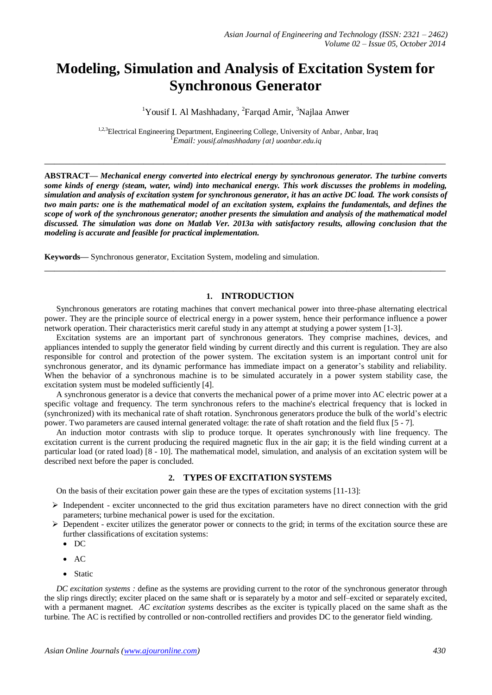# **Modeling, Simulation and Analysis of Excitation System for Synchronous Generator**

<sup>1</sup>Yousif I. Al Mashhadany, <sup>2</sup>Farqad Amir, <sup>3</sup>Najlaa Anwer

<sup>1,2,3</sup>Electrical Engineering Department, Engineering College, University of Anbar, Anbar, Iraq <sup>1</sup>*Email: yousif.almashhadany {at} uoanbar.edu.iq*

**ABSTRACT—** *Mechanical energy converted into electrical energy by synchronous generator. The turbine converts some kinds of energy (steam, water, wind) into mechanical energy. This work discusses the problems in modeling, simulation and analysis of excitation system for synchronous generator, it has an active DC load. The work consists of two main parts: one is the mathematical model of an excitation system, explains the fundamentals, and defines the scope of work of the synchronous generator; another presents the simulation and analysis of the mathematical model discussed. The simulation was done on Matlab Ver. 2013a with satisfactory results, allowing conclusion that the modeling is accurate and feasible for practical implementation.*

**\_\_\_\_\_\_\_\_\_\_\_\_\_\_\_\_\_\_\_\_\_\_\_\_\_\_\_\_\_\_\_\_\_\_\_\_\_\_\_\_\_\_\_\_\_\_\_\_\_\_\_\_\_\_\_\_\_\_\_\_\_\_\_\_\_\_\_\_\_\_\_\_\_\_\_\_\_\_\_\_\_**

**Keywords—** Synchronous generator, Excitation System, modeling and simulation.

## **1. INTRODUCTION**

Synchronous generators are rotating machines that convert mechanical power into three-phase alternating electrical power. They are the principle source of electrical energy in a power system, hence their performance influence a power network operation. Their characteristics merit careful study in any attempt at studying a power system [1-3].

**\_\_\_\_\_\_\_\_\_\_\_\_\_\_\_\_\_\_\_\_\_\_\_\_\_\_\_\_\_\_\_\_\_\_\_\_\_\_\_\_\_\_\_\_\_\_\_\_\_\_\_\_\_\_\_\_\_\_\_\_\_\_\_\_\_\_\_\_\_\_\_\_\_\_\_\_\_\_\_\_\_**

Excitation systems are an important part of synchronous generators. They comprise machines, devices, and appliances intended to supply the generator field winding by current directly and this current is regulation. They are also responsible for control and protection of the power system. The excitation system is an important control unit for synchronous generator, and its dynamic performance has immediate impact on a generator's stability and reliability. When the behavior of a synchronous machine is to be simulated accurately in a power system stability case, the excitation system must be modeled sufficiently [4].

A synchronous generator is a device that converts the mechanical power of a prime mover into AC electric power at a specific voltage and frequency. The term synchronous refers to the machine's electrical frequency that is locked in (synchronized) with its mechanical rate of shaft rotation. Synchronous generators produce the bulk of the world's electric power. Two parameters are caused internal generated voltage: the rate of shaft rotation and the field flux [5 - 7].

An induction motor contrasts with slip to produce torque. It operates synchronously with line frequency. The excitation current is the current producing the required magnetic flux in the air gap; it is the field winding current at a particular load (or rated load) [8 - 10]. The mathematical model, simulation, and analysis of an excitation system will be described next before the paper is concluded.

## **2. TYPES OF EXCITATION SYSTEMS**

On the basis of their excitation power gain these are the types of excitation systems [11-13]:

- $\triangleright$  Independent exciter unconnected to the grid thus excitation parameters have no direct connection with the grid parameters; turbine mechanical power is used for the excitation.
- $\triangleright$  Dependent exciter utilizes the generator power or connects to the grid; in terms of the excitation source these are further classifications of excitation systems:
	- DC
	- $\bullet$  AC
	- Static

*DC excitation systems :* define as the systems are providing current to the rotor of the synchronous generator through the slip rings directly; exciter placed on the same shaft or is separately by a motor and self–excited or separately excited, with a permanent magnet. *AC excitation systems* describes as the exciter is typically placed on the same shaft as the turbine. The AC is rectified by controlled or non-controlled rectifiers and provides DC to the generator field winding.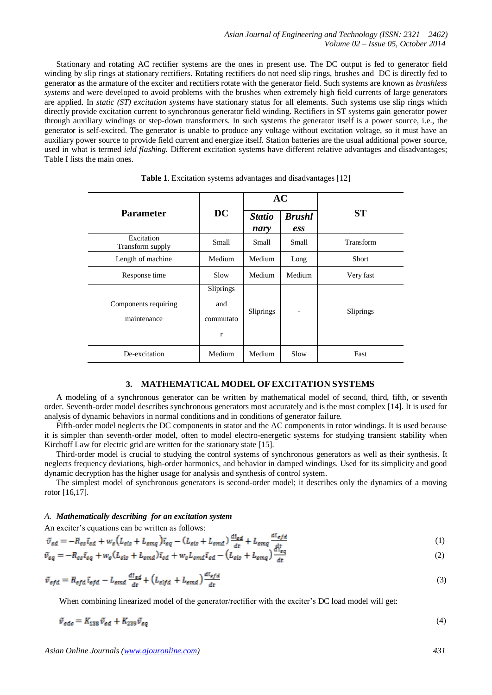Stationary and rotating AC rectifier systems are the ones in present use. The DC output is fed to generator field winding by slip rings at stationary rectifiers. Rotating rectifiers do not need slip rings, brushes and DC is directly fed to generator as the armature of the exciter and rectifiers rotate with the generator field. Such systems are known as *brushless systems* and were developed to avoid problems with the brushes when extremely high field currents of large generators are applied. In *static (ST) excitation systems* have stationary status for all elements. Such systems use slip rings which directly provide excitation current to synchronous generator field winding. Rectifiers in ST systems gain generator power through auxiliary windings or step-down transformers. In such systems the generator itself is a power source, i.e., the generator is self-excited. The generator is unable to produce any voltage without excitation voltage, so it must have an auxiliary power source to provide field current and energize itself. Station batteries are the usual additional power source, used in what is termed *ield flashing.* Different excitation systems have different relative advantages and disadvantages; Table I lists the main ones.

|                                     | DC                                 | AC                    |                      |           |  |
|-------------------------------------|------------------------------------|-----------------------|----------------------|-----------|--|
| <b>Parameter</b>                    |                                    | <b>Statio</b><br>nary | <b>Brushl</b><br>ess | <b>ST</b> |  |
| Excitation<br>Transform supply      | Small                              | Small                 | Small                | Transform |  |
| Length of machine                   | Medium                             | Medium                | Long                 | Short     |  |
| Response time                       | Slow                               | Medium                | Medium               | Very fast |  |
| Components requiring<br>maintenance | Sliprings<br>and<br>commutato<br>r | Sliprings             |                      | Sliprings |  |
| De-excitation                       | Medium                             | Medium                | Slow                 | Fast      |  |

| Table 1. Excitation systems advantages and disadvantages [12] |  |  |  |
|---------------------------------------------------------------|--|--|--|
|                                                               |  |  |  |

#### **3. MATHEMATICAL MODEL OF EXCITATION SYSTEMS**

A modeling of a synchronous generator can be written by mathematical model of second, third, fifth, or seventh order. Seventh-order model describes synchronous generators most accurately and is the most complex [14]. It is used for analysis of dynamic behaviors in normal conditions and in conditions of generator failure.

Fifth-order model neglects the DC components in stator and the AC components in rotor windings. It is used because it is simpler than seventh-order model, often to model electro-energetic systems for studying transient stability when Kirchoff Law for electric grid are written for the stationary state [15].

Third-order model is crucial to studying the control systems of synchronous generators as well as their synthesis. It neglects frequency deviations, high-order harmonics, and behavior in damped windings. Used for its simplicity and good dynamic decryption has the higher usage for analysis and synthesis of control system.

The simplest model of synchronous generators is second-order model; it describes only the dynamics of a moving rotor [16,17].

#### *A. Mathematically describing for an excitation system*

An exciter's equations can be written as follows:

$$
\tilde{v}_{ed} = -R_{es}\tilde{v}_{ed} + w_e \left( L_{eis} + L_{emq} \right) \tilde{v}_{eq} - \left( L_{eis} + L_{emd} \right) \frac{d\tilde{v}_{ed}}{dt} + L_{emq} \frac{d\tilde{v}_{ed}}{dt} \tag{1}
$$

$$
\tilde{v}_{eq} = -R_{es}\tilde{i}_{eq} + w_e(L_{els} + L_{emd})\tilde{i}_{ed} + w_eL_{emd}\tilde{i}_{ed} - (L_{eis} + L_{emq})\frac{w_{eq}}{dt}
$$
\n
$$
\tag{2}
$$

$$
\tilde{v}_{efd} = R_{efd} \tilde{v}_{efd} - L_{emd} \frac{d\tilde{v}_{ed}}{dt} + \left( L_{elfd} + L_{emd} \right) \frac{d\tilde{v}_{efd}}{dt}
$$
\n(3)

When combining linearized model of the generator/rectifier with the exciter's DC load model will get:

$$
\tilde{\nu}_{\text{edc}} = K_{138} \tilde{\nu}_{\text{ed}} + K_{239} \tilde{\nu}_{\text{eq}} \tag{4}
$$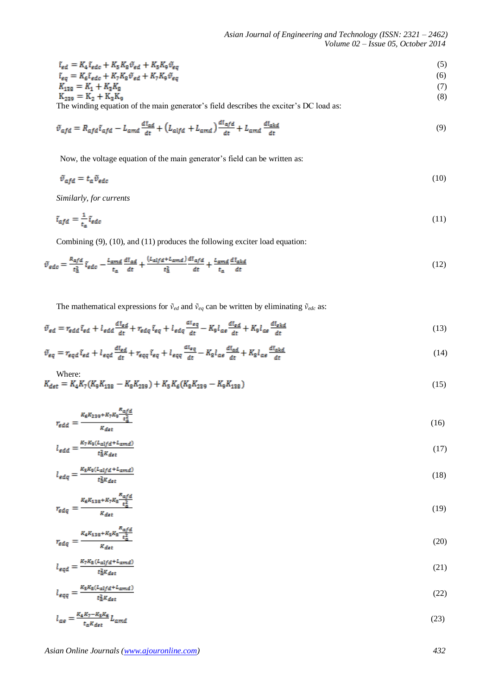$$
\tilde{\iota}_{ed} = K_4 \tilde{\iota}_{edc} + K_5 K_8 \tilde{\nu}_{ed} + K_5 K_9 \tilde{\nu}_{eq}
$$
\n
$$
\tilde{\iota}_{eq} = K_6 \tilde{\iota}_{edc} + K_7 K_8 \tilde{\nu}_{ed} + K_7 K_9 \tilde{\nu}_{eq}
$$
\n
$$
\iota_{128} = K_1 + K_3 K_8
$$
\n
$$
(6)
$$
\n
$$
K_{128} = K_1 + K_3 K_8
$$
\n
$$
(7)
$$

$$
K_{239} = K_2 + K_3 K_9
$$
\nThe winding equation of the main operator's field describes the Fourier's DC level, we have:

\n
$$
K_{239} = K_2 + K_3 K_9
$$
\n(8)

The winding equation of the main generator's field describes the exciter's DC load as:

$$
\tilde{v}_{afd} = R_{afd}\tilde{t}_{afd} - L_{amd}\frac{d\tilde{t}_{ad}}{dt} + \left(L_{alfd} + L_{amd}\right)\frac{d\tilde{t}_{af}}{dt} + L_{amd}\frac{d\tilde{t}_{akd}}{dt}
$$
\n<sup>(9)</sup>

Now, the voltage equation of the main generator's field can be written as:

$$
\tilde{v}_{\text{afd}} = t_a \tilde{v}_{\text{edc}} \tag{10}
$$

*Similarly, for currents*

$$
\tilde{t}_{\alpha f d} = \frac{1}{t_{\alpha}} \tilde{t}_{\alpha d c} \tag{11}
$$

Combining (9), (10), and (11) produces the following exciter load equation:

$$
\tilde{v}_{\text{edc}} = \frac{R_{\text{afd}}}{t_{\text{a}}^2} \tilde{v}_{\text{edc}} - \frac{L_{\text{amd}}}{t_{\text{a}}} \frac{d\tilde{v}_{\text{ad}}}{dt} + \frac{(L_{\text{alfd}} + L_{\text{amd}})}{t_{\text{a}}^2} \frac{d\tilde{v}_{\text{afd}}}{dt} + \frac{L_{\text{amd}}}{t_{\text{a}}} \frac{d\tilde{v}_{\text{akd}}}{dt} \tag{12}
$$

The mathematical expressions for  $\tilde{v}_{ed}$  and  $\tilde{v}_{eq}$  can be written by eliminating  $\tilde{v}_{edc}$  as:

$$
\tilde{v}_{ed} = r_{edd}\tilde{i}_{ed} + l_{edd}\frac{d\tilde{i}_{ed}}{dt} + r_{ddq}\tilde{i}_{eq} + l_{ddq}\frac{d\tilde{i}_{eq}}{dt} - K_{q}l_{ae}\frac{d\tilde{i}_{ed}}{dt} + K_{q}l_{ae}\frac{d\tilde{i}_{ekd}}{dt}
$$
\n(13)

$$
\tilde{v}_{eq} = r_{eqd} \tilde{v}_{ed} + l_{eqd} \frac{d\tilde{v}_{ed}}{dt} + r_{eqq} \tilde{v}_{eq} + l_{eqq} \frac{d\tilde{v}_{eq}}{dt} - K_{\rm g} l_{\rm a\epsilon} \frac{d\tilde{v}_{ad}}{dt} + K_{\rm g} l_{\rm a\epsilon} \frac{d\tilde{v}_{\rm a\epsilon d}}{dt} \tag{14}
$$

Where:  
\n
$$
K_{\text{det}} = K_4 K_7 (K_9 K_{138} - K_8 K_{239}) + K_5 K_6 (K_8 K_{239} - K_9 K_{138})
$$
\n(15)

$$
r_{\text{edd}} = \frac{\kappa_6 \kappa_{239} + \kappa_7 \kappa_9 \frac{\kappa_{\text{a}fd}}{\epsilon_{\text{a}}^2}}{\kappa_{\text{det}}} \tag{16}
$$

$$
l_{edd} = \frac{\kappa_7 \kappa_9 (L_{alfd} + L_{amd})}{t_d^2 \kappa_{det}} \tag{17}
$$

$$
l_{\text{edq}} = \frac{\kappa_{\text{s}} \kappa_{\text{9}} (L_{\text{alfd}} + L_{\text{amd}})}{t_{\text{d}}^2 \kappa_{\text{det}}} \tag{18}
$$

$$
r_{\text{edq}} = \frac{\kappa_{\text{e}} k_{138} + \kappa_7 \kappa_8 \frac{\kappa_{\text{afd}}}{t_{\text{a}}^2}}{\kappa_{\text{det}}} \tag{19}
$$

$$
r_{\text{edq}} = \frac{\kappa_4 \kappa_{138} + \kappa_5 \kappa_8 \frac{\kappa_{\alpha f d}}{t_{\alpha}^2}}{\kappa_{\text{det}}} \tag{20}
$$

$$
l_{eqd} = \frac{\kappa_7 \kappa_8 (L_{alfd} + L_{amd})}{t_6^2 \kappa_{det}} \tag{21}
$$

$$
l_{eqq} = \frac{\kappa_{\rm s} \kappa_{\rm s} (L_{\rm alfd} + L_{\rm amd})}{t_{\rm a}^2 \kappa_{\rm det}}\tag{22}
$$

$$
l_{\alpha\epsilon} = \frac{\kappa_4 \kappa_7 - \kappa_5 \kappa_6}{t_{\alpha} \kappa_{\det}} L_{\alpha m d} \tag{23}
$$

*Asian Online Journals (www.ajouronline.com) 432*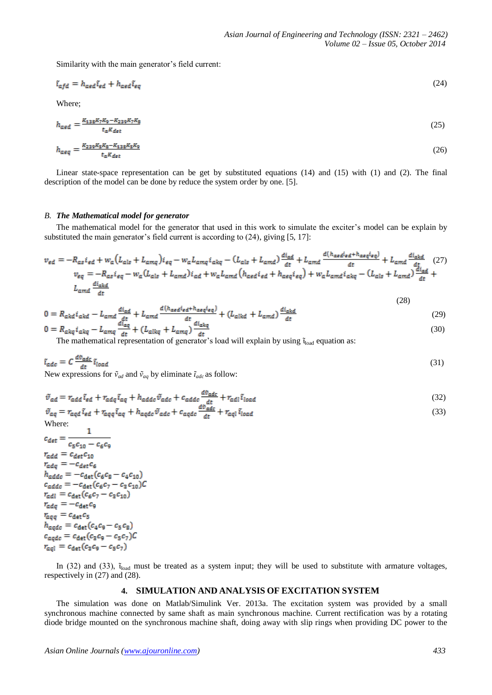Similarity with the main generator's field current:

$$
\tilde{t}_{\text{afd}} = h_{\text{aed}} \tilde{t}_{\text{ed}} + h_{\text{aed}} \tilde{t}_{\text{eq}} \tag{24}
$$

Where;

$$
h_{\text{aed}} = \frac{K_{138}K_7K_9 - K_{239}K_7K_8}{t_{\text{a}}K_{\text{det}}} \tag{25}
$$

$$
h_{\alpha\beta q} = \frac{K_{239}K_5K_8 - K_{138}K_5K_9}{t_{\alpha}K_{\alpha\beta\gamma}}
$$
(26)

Linear state-space representation can be get by substituted equations (14) and (15) with (1) and (2). The final description of the model can be done by reduce the system order by one. [5].

#### *B. The Mathematical model for generator*

The mathematical model for the generator that used in this work to simulate the exciter's model can be explain by substituted the main generator's field current is according to (24), giving [5, 17]:

$$
v_{ed} = -R_{as}i_{ed} + w_a(L_{als} + L_{amq})i_{eq} - w_a L_{amq}i_{akq} - (L_{als} + L_{amd})\frac{di_{ad}}{dt} + L_{amd}\frac{d(h_{acd}i_{ed} + h_{acq}i_{eq})}{dt} + L_{amd}\frac{di_{akd}}{dt}
$$
(27)  

$$
v_{eq} = -R_{as}i_{eq} - w_a(L_{als} + L_{amd})i_{ad} + w_a L_{amd}(h_{acd}i_{ed} + h_{aeq}i_{eq}) + w_a L_{amd}i_{akq} - (L_{als} + L_{amd})\frac{di_{ad}}{dt} + L_{amd}\frac{di_{akd}}{dt}
$$

$$
0 = R_{akd} i_{akd} - L_{amd} \frac{di_{ad}}{dt} + L_{amd} \frac{d(h_{acd} i_{ed} + h_{aeq} i_{eq})}{dt} + (L_{alkd} + L_{amd}) \frac{di_{akd}}{dt}
$$
(29)

$$
0 = R_{akq} i_{akq} - L_{amq} \frac{d_{aq}^{2}}{dt} + (L_{alkq} + L_{amq}) \frac{d_{akq}}{dt}
$$
\n
$$
(30)
$$

The mathematical representation of generator's load will explain by using  $\tilde{v}_{load}$  equation as:

$$
\tilde{\mathbf{t}}_{\mathbf{a}\mathbf{d}\mathbf{c}} = C \frac{d\mathbf{v}_{\mathbf{a}\mathbf{d}\mathbf{c}}}{dt} \tilde{\mathbf{t}}_{\mathbf{a}\mathbf{a}\mathbf{d}}
$$
\n
$$
\tilde{\mathbf{v}}_{ad}
$$
 and  $\tilde{\mathbf{v}}_{ad}$  by eliminate  $\tilde{\mathbf{t}}_{\mathbf{a}\mathbf{d}\mathbf{c}}$  as follow:

$$
\tilde{v}_{ad} = r_{add} \tilde{i}_{ed} + r_{adq} \tilde{i}_{aq} + h_{addc} \tilde{v}_{adc} + c_{addc} \frac{d\tilde{v}_{adc}}{dt} + r_{adl} \tilde{i}_{load}
$$
\n
$$
\tilde{v}_{aq} = r_{aqd} \tilde{i}_{ed} + r_{aqq} \tilde{i}_{aq} + h_{aqdc} \tilde{v}_{adc} + c_{aqdc} \frac{d\tilde{v}_{adc}}{dt} + r_{aql} \tilde{i}_{load}
$$
\n(33)

Where:

 $c_{\text{det}} = \frac{1}{2}$  $c_5c_{10}=c_6c_9\,$  $r_{add} = c_{det}c_{10}$  $r_{adq} = -c_{det}c_6$  $h_{addc} = -c_{\det}(c_6c_8 - c_4c_{10})$  $c_{adde} = -c_{det}(c_6c_7 - c_3c_{10})C$  $r_{\text{adi}} = c_{\text{det}}(c_6c_7 - c_3c_{10})$  $r_{adq} = -c_{det}c_9$  $r_{aqq} = c_{\text{det}} c_5$  $h_{aqdc} = c_{det}(c_4c_9 - c_5c_8)$  $r_{\text{gal}} = c_{\text{det}}(c_3c_9 - c_5c_7)$ 

 $\mathbf{1}$ 

In (32) and (33),  $\tilde{\iota}_{load}$  must be treated as a system input; they will be used to substitute with armature voltages, respectively in (27) and (28).

## **4. SIMULATION AND ANALYSIS OF EXCITATION SYSTEM**

The simulation was done on Matlab/Simulink Ver. 2013a. The excitation system was provided by a small synchronous machine connected by same shaft as main synchronous machine. Current rectification was by a rotating diode bridge mounted on the synchronous machine shaft, doing away with slip rings when providing DC power to the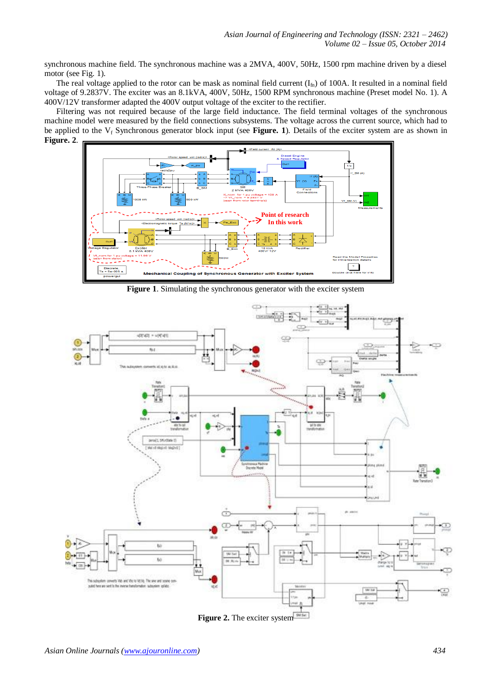synchronous machine field. The synchronous machine was a 2MVA, 400V, 50Hz, 1500 rpm machine driven by a diesel motor (see Fig. 1).

The real voltage applied to the rotor can be mask as nominal field current  $(I_{\text{fn}})$  of 100A. It resulted in a nominal field voltage of 9.2837V. The exciter was an 8.1kVA, 400V, 50Hz, 1500 RPM synchronous machine (Preset model No. 1). A 400V/12V transformer adapted the 400V output voltage of the exciter to the rectifier.

Filtering was not required because of the large field inductance. The field terminal voltages of the synchronous machine model were measured by the field connections subsystems. The voltage across the current source, which had to be applied to the V<sub>f</sub> Synchronous generator block input (see **Figure. 1**). Details of the exciter system are as shown in **Figure. 2**.



**Figure 1**. Simulating the synchronous generator with the exciter system



**Figure 2.** The exciter system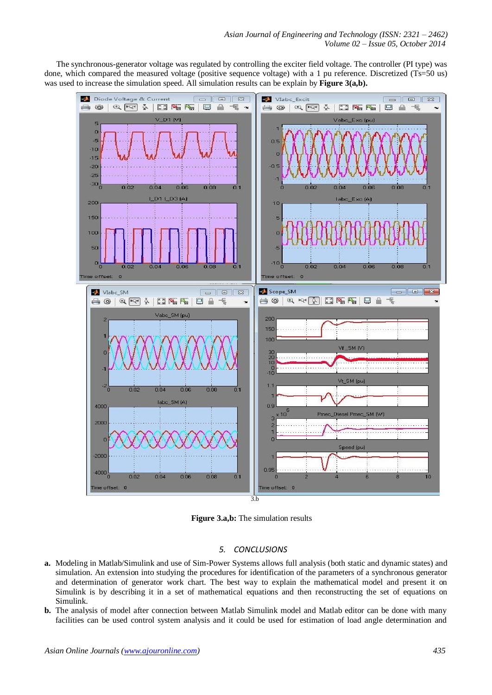The synchronous-generator voltage was regulated by controlling the exciter field voltage. The controller (PI type) was done, which compared the measured voltage (positive sequence voltage) with a 1 pu reference. Discretized (Ts=50 us) was used to increase the simulation speed. All simulation results can be explain by **Figure 3(a,b).** 



**Figure 3.a,b:** The simulation results

# *5. CONCLUSIONS*

- **a.** Modeling in Matlab/Simulink and use of Sim-Power Systems allows full analysis (both static and dynamic states) and simulation. An extension into studying the procedures for identification of the parameters of a synchronous generator and determination of generator work chart. The best way to explain the mathematical model and present it on Simulink is by describing it in a set of mathematical equations and then reconstructing the set of equations on Simulink.
- **b.** The analysis of model after connection between Matlab Simulink model and Matlab editor can be done with many facilities can be used control system analysis and it could be used for estimation of load angle determination and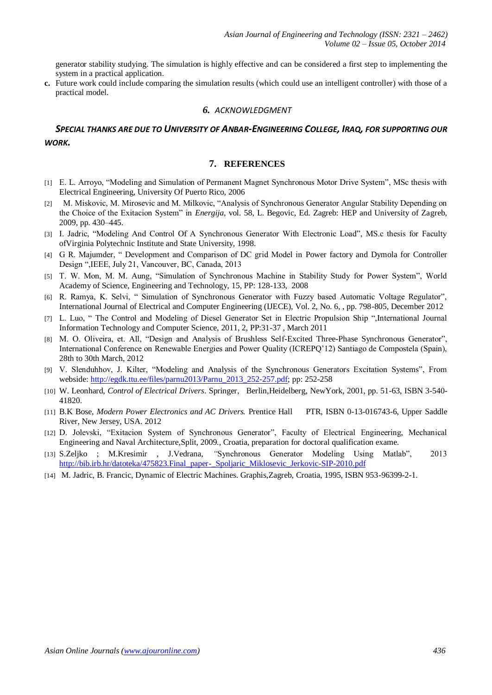generator stability studying. The simulation is highly effective and can be considered a first step to implementing the system in a practical application.

**c.** Future work could include comparing the simulation results (which could use an intelligent controller) with those of a practical model.

#### *6. ACKNOWLEDGMENT*

## *SPECIAL THANKS ARE DUE TO UNIVERSITY OF ANBAR-ENGINEERING COLLEGE, IRAQ, FOR SUPPORTING OUR WORK.*

## **7. REFERENCES**

- [1] E. L. Arroyo, "Modeling and Simulation of Permanent Magnet Synchronous Motor Drive System", MSc thesis with Electrical Engineering, University Of Puerto Rico, 2006
- [2] M. Miskovic, M. Mirosevic and M. Milkovic, "Analysis of Synchronous Generator Angular Stability Depending on the Choice of the Exitacion System" in *Energija*, vol. 58, L. Begovic, Ed. Zagreb: HEP and University of Zagreb, 2009, pp. 430–445.
- [3] I. Jadric, "Modeling And Control Of A Synchronous Generator With Electronic Load", MS.c thesis for Faculty ofVirginia Polytechnic Institute and State University, 1998.
- [4] G R. Majumder, " Development and Comparison of DC grid Model in Power factory and Dymola for Controller Design ",IEEE, July 21, Vancouver, BC, Canada, 2013
- [5] T. W. Mon, M. M. Aung, "Simulation of Synchronous Machine in Stability Study for Power System", World Academy of Science, Engineering and Technology, 15, PP: 128-133, 2008
- [6] R. Ramya, K. Selvi, " Simulation of Synchronous Generator with Fuzzy based Automatic Voltage Regulator", International Journal of Electrical and Computer Engineering (IJECE), Vol. 2, No. 6, , pp. 798-805, December 2012
- [7] L. Luo, " The Control and Modeling of Diesel Generator Set in Electric Propulsion Ship ",International Journal Information Technology and Computer Science, 2011, 2, PP:31-37 , March 2011
- [8] M. O. Oliveira, et. All, "Design and Analysis of Brushless Self-Excited Three-Phase Synchronous Generator", International Conference on Renewable Energies and Power Quality (ICREPQ'12) Santiago de Compostela (Spain), 28th to 30th March, 2012
- [9] V. Slenduhhov, J. Kilter, "Modeling and Analysis of the Synchronous Generators Excitation Systems", From webside: [http://egdk.ttu.ee/files/parnu2013/Parnu\\_2013\\_252-257.pdf;](http://egdk.ttu.ee/files/parnu2013/Parnu_2013_252-257.pdf) pp: 252-258
- [10] W. Leonhard, *Control of Electrical Drivers*. Springer, Berlin,Heidelberg, NewYork, 2001, pp. 51-63, ISBN 3-540- 41820.
- [11] B.K Bose, *Modern Power Electronics and AC Drivers.* Prentice Hall PTR, ISBN 0-13-016743-6, Upper Saddle River, New Jersey, USA. 2012
- [12] D. Jolevski, "Exitacion System of Synchronous Generator", Faculty of Electrical Engineering, Mechanical Engineering and Naval Architecture,Split, 2009., Croatia, preparation for doctoral qualification exame.
- [13] S.Zeljko ; M.Kresimir , J.Vedrana, *"*Synchronous Generator Modeling Using Matlab", 2013 [http://bib.irb.hr/datoteka/475823.Final\\_paper-\\_Spoljaric\\_Miklosevic\\_Jerkovic-SIP-2010.pdf](http://bib.irb.hr/datoteka/475823.Final_paper-_Spoljaric_Miklosevic_Jerkovic-SIP-2010.pdf)
- [14] M. Jadric, B. Francic, Dynamic of Electric Machines. Graphis,Zagreb, Croatia, 1995, ISBN 953-96399-2-1.